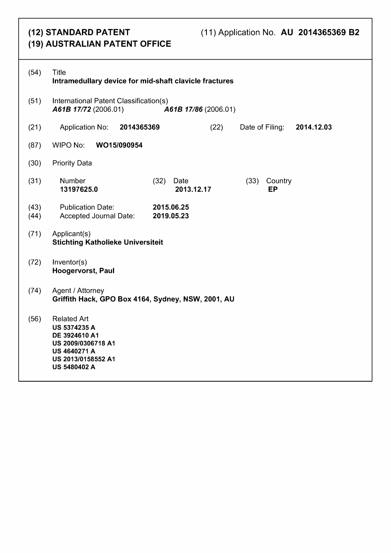# (12) STANDARD PATENT (19) AUSTRALIAN PATENT OFFICE

| (54)         | <b>Title</b><br>Intramedullary device for mid-shaft clavicle fractures                                                                               |
|--------------|------------------------------------------------------------------------------------------------------------------------------------------------------|
| (51)         | International Patent Classification(s)<br>A61B 17/72 (2006.01)<br>A61B 17/86 (2006.01)                                                               |
| (21)         | 2014365369<br>Application No:<br>(22)<br>Date of Filing:<br>2014.12.03                                                                               |
| (87)         | WIPO No:<br>WO15/090954                                                                                                                              |
| (30)         | <b>Priority Data</b>                                                                                                                                 |
| (31)         | Number<br>(32)<br>(33)<br>Country<br>Date<br>13197625.0<br>2013.12.17<br><b>EP</b>                                                                   |
| (43)<br>(44) | 2015.06.25<br><b>Publication Date:</b><br>Accepted Journal Date:<br>2019.05.23                                                                       |
| (71)         | Applicant(s)<br><b>Stichting Katholieke Universiteit</b>                                                                                             |
| (72)         | Inventor(s)<br>Hoogervorst, Paul                                                                                                                     |
| (74)         | Agent / Attorney<br>Griffith Hack, GPO Box 4164, Sydney, NSW, 2001, AU                                                                               |
| (56)         | <b>Related Art</b><br><b>US 5374235 A</b><br>DE 3924610 A1<br>US 2009/0306718 A1<br><b>US 4640271 A</b><br>US 2013/0158552 A1<br><b>US 5480402 A</b> |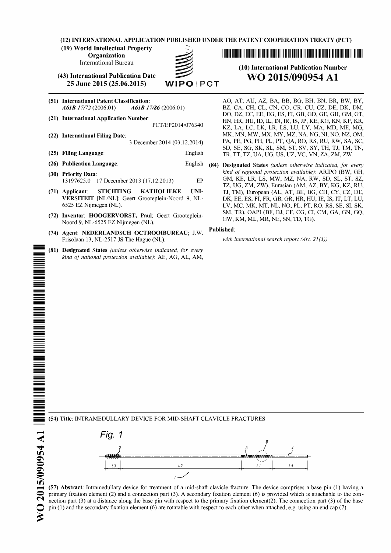**(12) INTERNATIONAL APPLICATION PUBLISHED UNDER THE PATENT COOPERATION TREATY (PCT)**

**(19) World Intellectual Property Organization**

International Bureau



**(43) International Publication Date <sup>25</sup> June <sup>2015</sup> (25.06.2015)** WIPO <sup>I</sup> PCT

- **(51) International Patent Classification:** *A61B 17/72* (2006.01) *A61B 17/86* (2006.01)
- **(21) International Application Number:**
- PCT/EP2014/076340
- **(22) International Filing Date:** 3 December 2014 (03.12.2014)
- **(25) Filing Uanguage:** English
- **(26) Publication Uanguage:** English
- **(30) Priority Data:** 13197625.0 17 December 2013 (17.12.2013) EP
- **(71) Applicant: STICHTING KATHOEIEKE UNI-VERSITEIT** [NL/NL]; Geert Grooteplein-Noord 9, NL-6525 EZ Nijmegen (NL).
- **(72) Inventor: HOOGERVORST, Paul;** Geert Grooteplein-Noord 9, NL-6525 EZ Nijmegen (NL).
- **(74) Agent: NEDERLANDSCH OCTROOIBUREAU; J.W.** Frisolaan 13, NL-2517 **JS** The Hague (NL).
- **(81) Designated States** *(unless otherwise indicated, for every kind of national protection available):* AE, AG, AL, AM,

IIIIIIIIIIIIIIIIIIIIIIIIIIIIIIIIIIIIIIIIIIIIIIIN

2015/090954 A1 **r s 6 0 6 0 /s m**

o m

IIIIIIIIIIIIIIIIIIIIIIIIIIIIIIIIIIIIIIIIIIIIN

# **(10) International Publication Number WO 2015/090954 Al**

AO, AT, AU, AZ, BA, BB, BG, BH, BN, BR, BW, BY, BZ, CA, CH, CL, CN, CO, CR, CU, CZ, DE, DK, DM, DO, DZ, EC, EE, EG, ES, FI, GB, GD, GE, GH, GM, GT, HN, HR, HU, ID, IL, IN, IR, IS, JP, KE, KG, KN, KP, KR, KZ, LA, LC, LK, LR, LS, LU, LY, MA, MD, ME, MG, MK, MN, MW, MX, MY, MZ, NA, NG, NI, NO, NZ, OM, PA, PE, PG, PH, PL, PT, QA, RO, RS, RU, RW, SA, SC, SD, SE, SG, SK, SL, SM, ST, SV, SY, TH, TJ, TM, TN, TR, TT, TZ, UA, UG, US, UZ, VC, VN, ZA, ZM, ZW.

**(84) Designated States** *(unless otherwise indicated, for every kind ofregional protection available):* ARIPO (BW, GH, GM, KE, LR, LS, MW, MZ, NA, RW, SD, SL, ST, SZ, TZ, UG, ZM, ZW), Eurasian (AM, AZ, BY, KG, KZ, RU, TJ, TM), European (AL, AT, BE, BG, CH, CY, CZ, DE, DK, EE, ES, FI, FR, GB, GR, HR, HU, IE, IS, IT, LT, LU, LV, MC, MK, MT, NL, NO, PL, PT, RO, RS, SE, SI, SK, SM, TR), OAPI (BF, BJ, CF, CG, CI, CM, GA, GN, GQ, GW, KM, ML, MR, NE, SN, TD, TG).

**Published:**

*— with international search report (Art. 21(3))*

**(54) Title:** INTRAMEDULLARY DEVICE FOR MID-SHAFT CLAVICLE FRACTURES



**(57) Abstract:** Intramedullary device for treatment of a mid-shaft clavicle fracture. The device comprises a base pin (1) having a primary fixation element (2) and a connection part (3). A secondary fixation element (6) is provided which is attachable to the connection part  $(3)$  at a distance along the base pin with respect to the primary fixation element $(2)$ . The connection part  $(3)$  of the base pin (1) and the secondary fixation element (6) are rotatable with respect to each other when attached, e.g. using an end cap (7).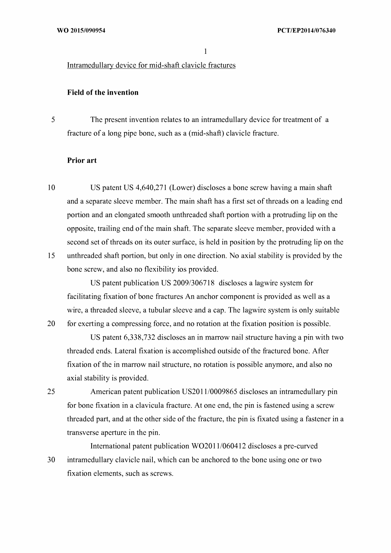Intramedullary device for mid-shaft clavicle fractures

#### **Field ofthe invention**

5 The present invention relates to an intramedullary device for treatment of a fracture of a long pipe bone, such as a (mid-shaft) clavicle fracture.

#### **Prior art**

20

25

10 15 US patent US 4,640,271 (Lower) discloses a bone screw having a main shaft and a separate sleeve member. The main shaft has a first set of threads on a leading end portion and an elongated smooth unthreaded shaft portion with a protruding lip on the opposite, trailing end ofthe main shaft. The separate sleeve member, provided with a second set of threads on its outer surface, is held in position by the protruding lip on the unthreaded shaft portion, but only in one direction. No axial stability is provided by the bone screw, and also no flexibility ios provided.

US patent publication US 2009/306718 discloses a lagwire system for facilitating fixation of bone fractures An anchor component is provided as well as a wire, a threaded sleeve, a tubular sleeve and a cap. The lagwire system is only suitable for exerting a compressing force, and no rotation at the fixation position is possible.

US patent 6,338,732 discloses an in marrow nail structure having a pin with two threaded ends. Lateral fixation is accomplished outside of the fractured bone. After fixation of the in marrow nail structure, no rotation is possible anymore, and also no axial stability is provided.

American patent publication US2011/0009865 discloses an intramedullary pin for bone fixation in a clavicula fracture. At one end, the pin is fastened using a screw threaded part, and at the other side of the fracture, the pin is fixated using a fastener in a transverse aperture in the pin.

30 International patent publication WO2011/060412 discloses a pre-curved intramedullary clavicle nail, which can be anchored to the bone using one or two fixation elements, such as screws.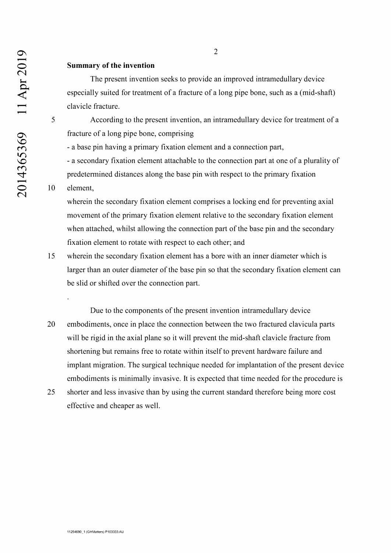#### **Summary ofthe invention**

The present invention seeks to provide an improved intramedullary device especially suited for treatment of a fracture of a long pipe bone, such as a (mid-shaft) clavicle fracture.

5 According to the present invention, an intramedullary device for treatment of a fracture of a long pipe bone, comprising

- a base pin having a primary fixation element and a connection part,

- a secondary fixation element attachable to the connection part at one of a plurality of predetermined distances along the base pin with respect to the primary fixation

#### 10 element,

wherein the secondary fixation element comprises a locking end for preventing axial movement of the primary fixation element relative to the secondary fixation element when attached, whilst allowing the connection part of the base pin and the secondary fixation element to rotate with respect to each other; and

- 15 wherein the secondary fixation element has a bore with an inner diameter which is larger than an outer diameter of the base pin so that the secondary fixation element can be slid or shifted over the connection part.
- Due to the components of the present invention intramedullary device 20 embodiments, once in place the connection between the two fractured clavicula parts will be rigid in the axial plane so it will prevent the mid-shaft clavicle fracture from shortening but remains free to rotate within itself to prevent hardware failure and implant migration. The surgical technique needed for implantation of the present device embodiments is minimally invasive. It is expected that time needed for the procedure is
- 25 shorter and less invasive than by using the current standard therefore being more cost effective and cheaper as well.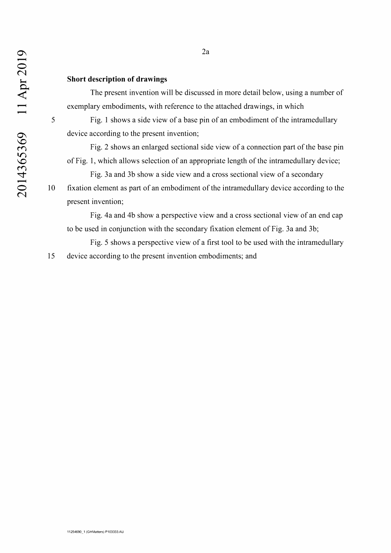### **Short description of drawings**

The present invention will be discussed in more detail below, using a number of exemplary embodiments, with reference to the attached drawings, in which

5 Fig. 1 shows a side view of a base pin of an embodiment of the intramedullary device according to the present invention;

Fig. 2 shows an enlarged sectional side view of a connection part of the base pin of Fig. 1, which allows selection of an appropriate length of the intramedullary device;

Fig. 3a and 3b show a side view and a cross sectional view of a secondary 10 fixation element as part of an embodiment of the intramedullary device according to the present invention;

Fig. 4a and 4b show a perspective view and a cross sectional view of an end cap to be used in conjunction with the secondary fixation element of Fig. 3a and 3b;

Fig. 5 shows a perspective view of a first tool to be used with the intramedullary 15 device according to the present invention embodiments; and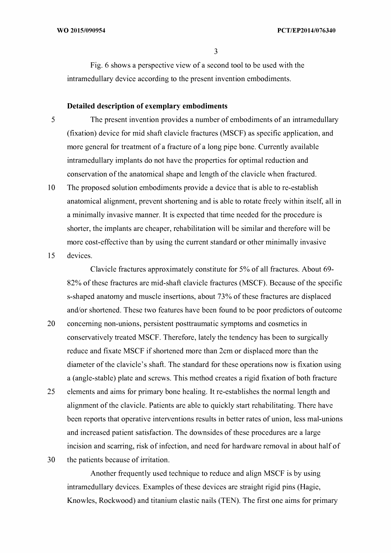Fig. 6 shows a perspective view of a second tool to be used with the intramedullary device according to the present invention embodiments.

#### **Detailed description of exemplary embodiments**

5

The present invention provides a number of embodiments of an intramedullary (fixation) device for mid shaft clavicle fractures (MSCF) as specific application, and more general for treatment of a fracture of a long pipe bone. Currently available intramedullary implants do not have the properties for optimal reduction and conservation of the anatomical shape and length of the clavicle when fractured.

10 The proposed solution embodiments provide a device that is able to re-establish anatomical alignment, prevent shortening and is able to rotate freely within itself, all in a minimally invasive manner. It is expected that time needed for the procedure is shorter, the implants are cheaper, rehabilitation will be similar and therefore will be more cost-effective than by using the current standard or other minimally invasive

15 devices.

> Clavicle fractures approximately constitute for 5% of all fractures. About 69 82% of these fractures are mid-shaft clavicle fractures (MSCF). Because of the specific s-shaped anatomy and muscle insertions, about 73% of these fractures are displaced and/or shortened. These two features have been found to be poor predictors of outcome

- 20 concerning non-unions, persistent posttraumatic symptoms and cosmetics in conservatively treated MSCF. Therefore, lately the tendency has been to surgically reduce and fixate MSCF if shortened more than 2cm or displaced more than the diameter of the clavicle's shaft. The standard for these operations now is fixation using a (angle-stable) plate and screws. This method creates a rigid fixation of both fracture
- 25 elements and aims for primary bone healing. It re-establishes the normal length and alignment of the clavicle. Patients are able to quickly start rehabilitating. There have been reports that operative interventions results in better rates of union, less mal-unions and increased patient satisfaction. The downsides of these procedures are a large incision and scarring, risk of infection, and need for hardware removal in about half of
- 30 the patients because of irritation.

Another frequently used technique to reduce and align MSCF is by using intramedullary devices. Examples of these devices are straight rigid pins (Hagie, Knowles, Rockwood) and titanium elastic nails (TEN). The first one aims for primary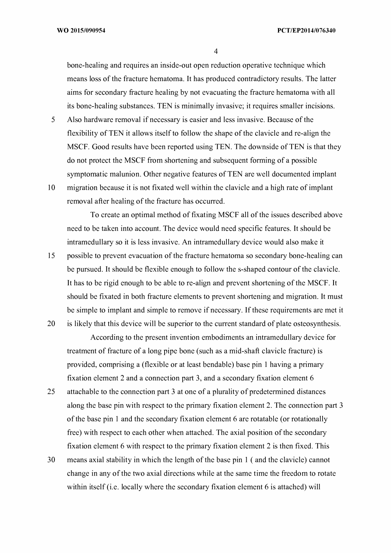bone-healing and requires an inside-out open reduction operative technique which means loss of the fracture hematoma. It has produced contradictory results. The latter aims for secondary fracture healing by not evacuating the fracture hematoma with all its bone-healing substances. TEN is minimally invasive; it requires smaller incisions.

- 5 10 Also hardware removal if necessary is easier and less invasive. Because of the flexibility of TEN it allows itself to follow the shape of the clavicle and re-align the MSCF. Good results have been reported using TEN. The downside of TEN is that they do not protect the MSCF from shortening and subsequent forming of a possible symptomatic malunion. Other negative features of TEN are well documented implant migration because it is not fixated well within the clavicle and a high rate of implant
	- removal after healing of the fracture has occurred.

To create an optimal method of fixating MSCF all of the issues described above need to be taken into account. The device would need specific features. It should be intramedullary so it is less invasive. An intramedullary device would also make it

15 20 possible to prevent evacuation of the fracture hematoma so secondary bone-healing can be pursued. It should be flexible enough to follow the s-shaped contour of the clavicle. It has to be rigid enough to be able to re-align and prevent shortening of the MSCF. It should be fixated in both fracture elements to prevent shortening and migration. It must be simple to implant and simple to remove if necessary. If these requirements are met it is likely that this device will be superior to the current standard of plate osteosynthesis.

According to the present invention embodiments an intramedullary device for treatment of fracture of a long pipe bone (such as a mid-shaft clavicle fracture) is provided, comprising a (flexible or at least bendable) base pin <sup>1</sup> having a primary fixation element 2 and a connection part 3, and a secondary fixation element 6

- 25 attachable to the connection part 3 at one of a plurality of predetermined distances along the base pin with respect to the primary fixation element 2. The connection part 3 of the base pin 1 and the secondary fixation element 6 are rotatable (or rotationally free) with respect to each other when attached. The axial position of the secondary fixation element 6 with respect to the primary fixation element 2 is then fixed. This
- 30 means axial stability in which the length of the base pin  $1$  (and the clavicle) cannot change in any of the two axial directions while at the same time the freedom to rotate within itself (i.e. locally where the secondary fixation element 6 is attached) will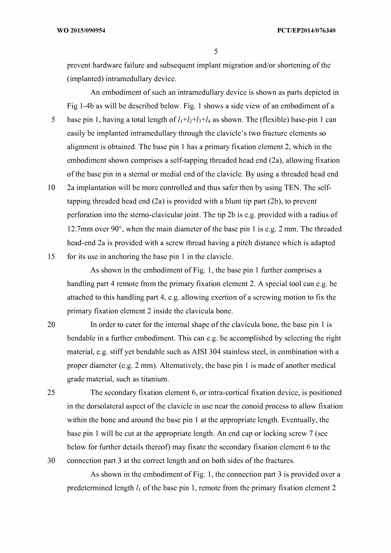prevent hardware failure and subsequent implant migration and/or shortening of the (implanted) intramedullary device.

5 An embodiment of such an intramedullary device is shown as parts depicted in Fig l-4b as will be described below. Fig. <sup>1</sup> shows a side view of an embodiment of a base pin 1, having a total length of  $l_1+l_2+l_3+l_4$  as shown. The (flexible) base-pin 1 can easily be implanted intramedullary through the clavicle's two fracture elements so alignment is obtained. The base pin <sup>1</sup> has a primary fixation element 2, which in the embodiment shown comprises a self-tapping threaded head end (2a), allowing fixation of the base pin in a sternal or medial end of the clavicle. By using a threaded head end

10 2a implantation will be more controlled and thus safer then by using TEN. The selftapping threaded head end (2a) is provided with a blunt tip part (2b), to prevent perforation into the sterno-clavicular joint. The tip 2b is e.g. provided with a radius of 12.7mm over 90 $^{\circ}$ , when the main diameter of the base pin 1 is e.g. 2 mm. The threaded head-end 2a is provided with a screw thread having a pitch distance which is adapted

15 for its use in anchoring the base pin <sup>1</sup> in the clavicle.

> As shown in the embodiment of Fig. 1, the base pin 1 further comprises a handling part 4 remote from the primary fixation element 2. A special tool can e.g. be attached to this handling part 4, e.g. allowing exertion of a screwing motion to fix the primary fixation element 2 inside the clavicula bone.

- 20 In order to cater for the internal shape of the clavicula bone, the base pin 1 is bendable in a further embodiment. This can e.g. be accomplished by selecting the right material, e.g. stiffyet bendable such as AISI 304 stainless steel, in combination with a proper diameter (e.g. 2 mm). Alternatively, the base pin <sup>1</sup> is made of another medical grade material, such as titanium.
- 25 30 The secondary fixation element 6, or intra-cortical fixation device, is positioned in the dorsolateral aspect of the clavicle in use near the conoid process to allow fixation within the bone and around the base pin 1 at the appropriate length. Eventually, the base pin <sup>1</sup> will be cut at the appropriate length. An end cap or locking screw 7 (see below for further details thereof) may fixate the secondary fixation element 6 to the connection part 3 at the correct length and on both sides of the fractures.

As shown in the embodiment of Fig. 1, the connection part  $3$  is provided over a predetermined length  $l_1$  of the base pin 1, remote from the primary fixation element 2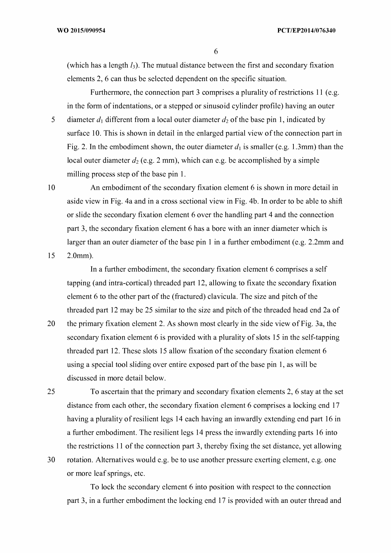(which has a length  $l_3$ ). The mutual distance between the first and secondary fixation elements 2, 6 can thus be selected dependent on the specific situation.

5 Furthermore, the connection part 3 comprises a plurality of restrictions 11 (e.g. in the form of indentations, or a stepped or sinusoid cylinder profile) having an outer diameter  $d_1$  different from a local outer diameter  $d_2$  of the base pin 1, indicated by surface 10. This is shown in detail in the enlarged partial view of the connection part in Fig. 2. In the embodiment shown, the outer diameter  $d_1$  is smaller (e.g. 1.3mm) than the local outer diameter  $d_2$  (e.g. 2 mm), which can e.g. be accomplished by a simple milling process step of the base pin 1.

10 15 An embodiment of the secondary fixation element 6 is shown in more detail in aside view in Fig. 4a and in a cross sectional view in Fig. 4b. In order to be able to shift or slide the secondary fixation element 6 over the handling part 4 and the connection part 3, the secondary fixation element 6 has a bore with an inner diameter which is larger than an outer diameter of the base pin 1 in a further embodiment (e.g.  $2.2$ mm and 2.0mm).

In a further embodiment, the secondary fixation element 6 comprises a self tapping (and intra-cortical) threaded part 12, allowing to fixate the secondary fixation element 6 to the other part of the (fractured) clavicula. The size and pitch of the threaded part 12 may be 25 similar to the size and pitch of the threaded head end 2a of

20 the primary fixation element 2. As shown most clearly in the side view of Fig. 3a, the secondary fixation element 6 is provided with a plurality of slots 15 in the self-tapping threaded part 12. These slots 15 allow fixation of the secondary fixation element 6 using a special tool sliding over entire exposed part of the base pin 1, as will be discussed in more detail below.

25 To ascertain that the primary and secondary fixation elements 2, 6 stay at the set distance from each other, the secondary fixation element 6 comprises a locking end 17 having a plurality of resilient legs 14 each having an inwardly extending end part 16 in a further embodiment. The resilient legs 14 press the inwardly extending parts 16 into the restrictions  $11$  of the connection part 3, thereby fixing the set distance, yet allowing rotation. Alternatives would e.g. be to use another pressure exerting element, e.g. one

30

or more leaf springs, etc.

To lock the secondary element 6 into position with respect to the connection part 3, in a further embodiment the locking end 17 is provided with an outer thread and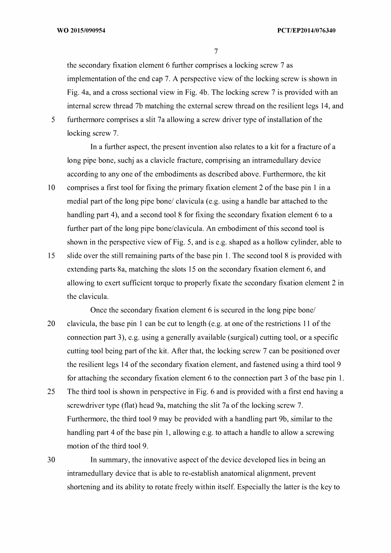the secondary fixation element 6 further comprises a locking screw 7 as implementation of the end cap 7. A perspective view of the locking screw is shown in Fig. 4a, and a cross sectional view in Fig. 4b. The locking screw 7 is provided with an internal screw thread 7b matching the external screw thread on the resilient legs 14, and

5 furthermore comprises a slit 7a allowing a screw driver type of installation of the locking screw 7.

In a further aspect, the present invention also relates to a kit for a fracture of a long pipe bone, suchj as a clavicle fracture, comprising an intramedullary device according to any one of the embodiments as described above. Furthermore, the kit

- 10 comprises a first tool for fixing the primary fixation element 2 of the base pin 1 in a medial part of the long pipe bone/ clavicula (e.g. using a handle bar attached to the handling part 4), and a second tool 8 for fixing the secondary fixation element 6 to a further part of the long pipe bone/clavicula. An embodiment of this second tool is shown in the perspective view of Fig. 5, and is e.g. shaped as a hollow cylinder, able to
- 15 slide over the still remaining parts of the base pin 1. The second tool  $\delta$  is provided with extending parts 8a, matching the slots 15 on the secondary fixation element 6, and allowing to exert sufficient torque to properly fixate the secondary fixation element 2 in the clavicula.
- 20 Once the secondary fixation element 6 is secured in the long pipe bone/ clavicula, the base pin 1 can be cut to length (e.g. at one of the restrictions  $11$  of the connection part 3), e.g. using a generally available (surgical) cutting tool, or a specific cutting tool being part of the kit. After that, the locking screw 7 can be positioned over the resilient legs 14 of the secondary fixation element, and fastened using a third tool 9 for attaching the secondary fixation element 6 to the connection part 3 of the base pin  $1$ .
- 25 The third tool is shown in perspective in Fig. 6 and is provided with a first end having a screwdriver type (flat) head 9a, matching the slit 7a of the locking screw 7. Furthermore, the third tool 9 may be provided with a handling part 9b, similar to the handling part 4 of the base pin 1, allowing e.g. to attach a handle to allow a screwing motion of the third tool 9.
- 30 In summary, the innovative aspect of the device developed lies in being an intramedullary device that is able to re-establish anatomical alignment, prevent shortening and its ability to rotate freely within itself. Especially the latter is the key to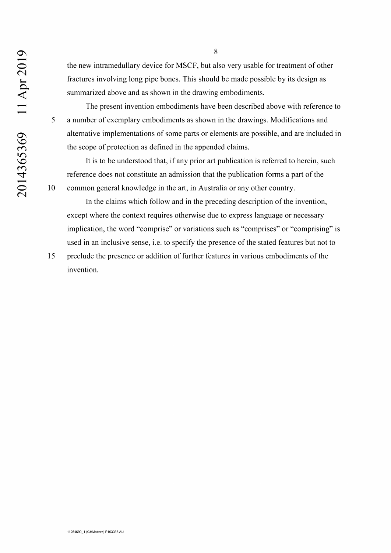the new intramedullary device for MSCF, but also very usable for treatment of other fractures involving long pipe bones. This should be made possible by its design as summarized above and as shown in the drawing embodiments.

The present invention embodiments have been described above with reference to 5 a number of exemplary embodiments as shown in the drawings. Modifications and alternative implementations of some parts or elements are possible, and are included in the scope of protection as defined in the appended claims.

It is to be understood that, if any prior art publication is referred to herein, such reference does not constitute an admission that the publication forms a part of the 10 common general knowledge in the art, in Australia or any other country.

In the claims which follow and in the preceding description of the invention, except where the context requires otherwise due to express language or necessary implication, the word "comprise" or variations such as "comprises" or "comprising" is used in an inclusive sense, i.e. to specify the presence of the stated features but not to

15 preclude the presence or addition of further features in various embodiments of the invention.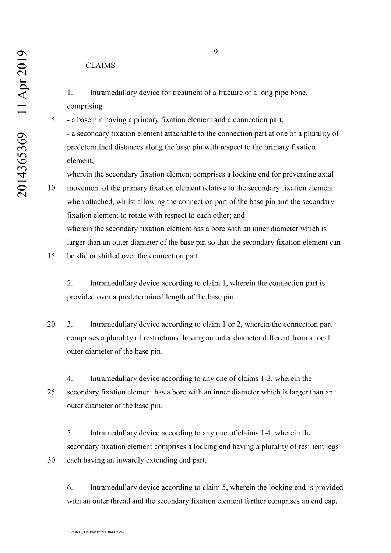## CLAIMS

- 1. Intramedullary device for treatment of a fracture of a long pipe bone, comprising
- 5 a base pin having a primary fixation element and a connection part, - a secondary fixation element attachable to the connection part at one of a plurality of predetermined distances along the base pin with respect to the primary fixation element,

wherein the secondary fixation element comprises a locking end for preventing axial

- 10 movement ofthe primary fixation element relative to the secondary fixation element when attached, whilst allowing the connection part of the base pin and the secondary fixation element to rotate with respect to each other; and wherein the secondary fixation element has a bore with an inner diameter which is larger than an outer diameter of the base pin so that the secondary fixation element can
- 15 be slid or shifted over the connection part.

2. Intramedullary device according to claim 1, wherein the connection part is provided over a predetermined length of the base pin.

- 20 3. Intramedullary device according to claim <sup>1</sup> or 2, wherein the connection part comprises a plurality of restrictions having an outer diameter different from a local outer diameter of the base pin.
- 4. Intramedullary device according to any one of claims 1-3, wherein the 25 secondary fixation element has a bore with an inner diameter which is larger than an outer diameter of the base pin.

5. Intramedullary device according to any one of claims 1-4, wherein the secondary fixation element comprises a locking end having a plurality of resilient legs 30 each having an inwardly extending end part.

6. Intramedullary device according to claim 5, wherein the locking end is provided with an outer thread and the secondary fixation element further comprises an end cap.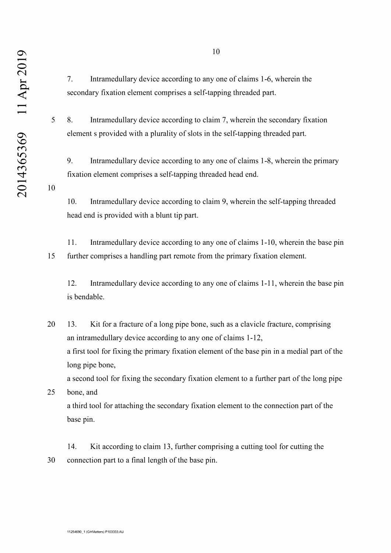7. Intramedullary device according to any one of claims 1-6, wherein the secondary fixation element comprises a self-tapping threaded part.

5 8. Intramedullary device according to claim 7, wherein the secondary fixation element s provided with a plurality of slots in the self-tapping threaded part.

9. Intramedullary device according to any one of claims 1-8, wherein the primary fixation element comprises a self-tapping threaded head end.

10. Intramedullary device according to claim 9, wherein the self-tapping threaded head end is provided with a blunt tip part.

11. Intramedullary device according to any one of claims 1-10, wherein the base pin 15 further comprises a handling part remote from the primary fixation element.

12. Intramedullary device according to any one of claims 1-11, wherein the base pin is bendable.

20 13. Kit for a fracture of a long pipe bone, such as a clavicle fracture, comprising an intramedullary device according to any one of claims 1-12, a first tool for fixing the primary fixation element of the base pin in a medial part of the long pipe bone, a second tool for fixing the secondary fixation element to a further part of the long pipe

25 bone, and a third tool for attaching the secondary fixation element to the connection part of the base pin.

14. Kit according to claim 13, further comprising a cutting tool for cutting the 30 connection part to a final length of the base pin.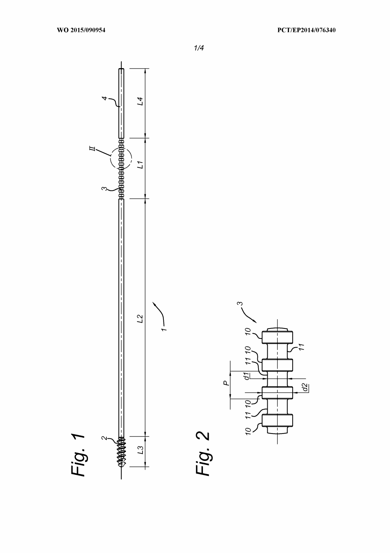

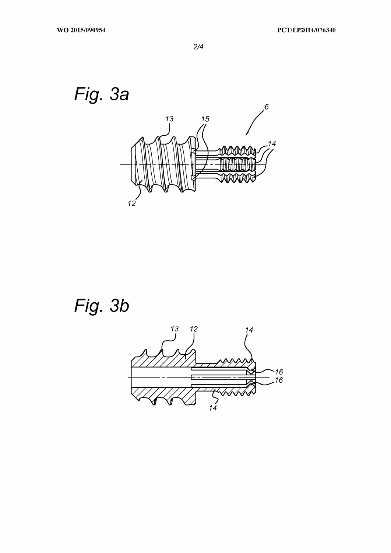

*Fig. 3b*

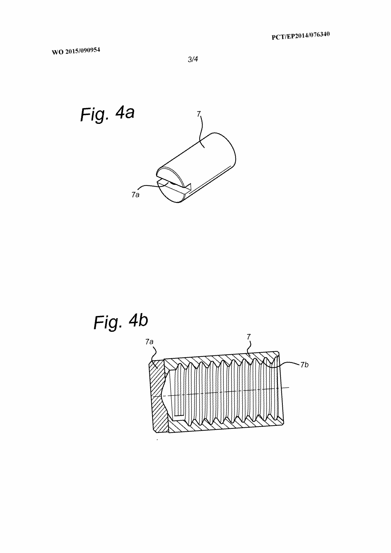